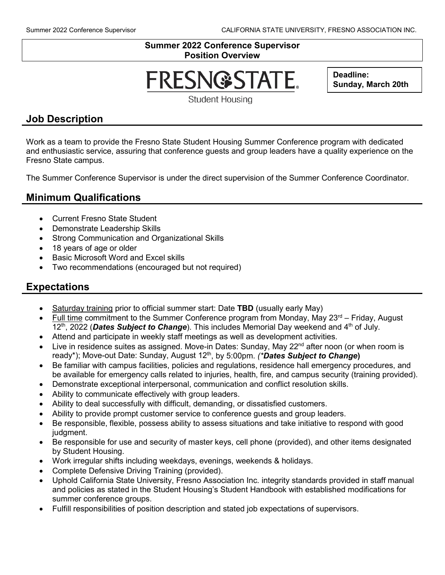### **Summer 2022 Conference Supervisor Position Overview**

# **FRESN@STATE.**

**Deadline: Sunday, March 20th**

**Student Housing** 

## **Job Description**

Work as a team to provide the Fresno State Student Housing Summer Conference program with dedicated and enthusiastic service, assuring that conference guests and group leaders have a quality experience on the Fresno State campus.

The Summer Conference Supervisor is under the direct supervision of the Summer Conference Coordinator.

## **Minimum Qualifications**

- Current Fresno State Student
- Demonstrate Leadership Skills
- Strong Communication and Organizational Skills
- 18 years of age or older
- Basic Microsoft Word and Excel skills
- Two recommendations (encouraged but not required)

## **Expectations**

- Saturday training prior to official summer start: Date **TBD** (usually early May)
- Full time commitment to the Summer Conference program from Monday, May  $23<sup>rd</sup>$  Friday, August 12<sup>th</sup>, 2022 (**Dates Subject to Change**). This includes Memorial Day weekend and 4<sup>th</sup> of July.
- Attend and participate in weekly staff meetings as well as development activities.
- Live in residence suites as assigned. Move-in Dates: Sunday, May  $22<sup>nd</sup>$  after noon (or when room is ready<sup>\*</sup>); Move-out Date: Sunday, August 12<sup>th</sup>, by 5:00pm. *(\*Dates Subject to Change)*
- Be familiar with campus facilities, policies and regulations, residence hall emergency procedures, and be available for emergency calls related to injuries, health, fire, and campus security (training provided).
- Demonstrate exceptional interpersonal, communication and conflict resolution skills.
- Ability to communicate effectively with group leaders.
- Ability to deal successfully with difficult, demanding, or dissatisfied customers.
- Ability to provide prompt customer service to conference guests and group leaders.
- Be responsible, flexible, possess ability to assess situations and take initiative to respond with good judgment.
- Be responsible for use and security of master keys, cell phone (provided), and other items designated by Student Housing.
- Work irregular shifts including weekdays, evenings, weekends & holidays.
- Complete Defensive Driving Training (provided).
- Uphold California State University, Fresno Association Inc. integrity standards provided in staff manual and policies as stated in the Student Housing's Student Handbook with established modifications for summer conference groups.
- Fulfill responsibilities of position description and stated job expectations of supervisors.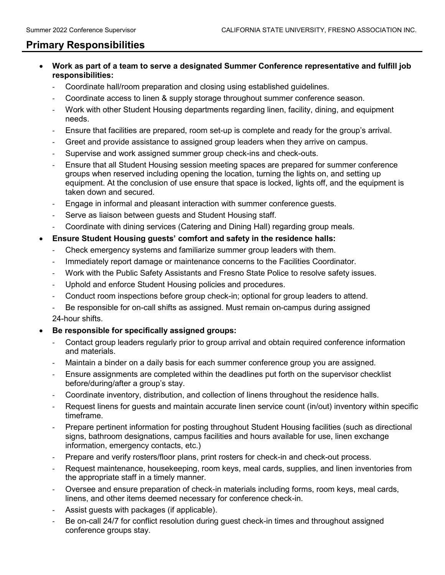## **Primary Responsibilities**

- **Work as part of a team to serve a designated Summer Conference representative and fulfill job responsibilities:**
	- Coordinate hall/room preparation and closing using established guidelines.
	- Coordinate access to linen & supply storage throughout summer conference season.
	- Work with other Student Housing departments regarding linen, facility, dining, and equipment needs.
	- Ensure that facilities are prepared, room set-up is complete and ready for the group's arrival.
	- Greet and provide assistance to assigned group leaders when they arrive on campus.
	- Supervise and work assigned summer group check-ins and check-outs.
	- Ensure that all Student Housing session meeting spaces are prepared for summer conference groups when reserved including opening the location, turning the lights on, and setting up equipment. At the conclusion of use ensure that space is locked, lights off, and the equipment is taken down and secured.
	- Engage in informal and pleasant interaction with summer conference guests.
	- Serve as liaison between quests and Student Housing staff.
	- Coordinate with dining services (Catering and Dining Hall) regarding group meals.

### • **Ensure Student Housing guests' comfort and safety in the residence halls:**

- Check emergency systems and familiarize summer group leaders with them.
- Immediately report damage or maintenance concerns to the Facilities Coordinator.
- Work with the Public Safety Assistants and Fresno State Police to resolve safety issues.
- Uphold and enforce Student Housing policies and procedures.
- Conduct room inspections before group check-in; optional for group leaders to attend.
- Be responsible for on-call shifts as assigned. Must remain on-campus during assigned

24-hour shifts.

#### • **Be responsible for specifically assigned groups:**

- Contact group leaders regularly prior to group arrival and obtain required conference information and materials.
- Maintain a binder on a daily basis for each summer conference group you are assigned.
- Ensure assignments are completed within the deadlines put forth on the supervisor checklist before/during/after a group's stay.
- Coordinate inventory, distribution, and collection of linens throughout the residence halls.
- Request linens for guests and maintain accurate linen service count (in/out) inventory within specific timeframe.
- Prepare pertinent information for posting throughout Student Housing facilities (such as directional signs, bathroom designations, campus facilities and hours available for use, linen exchange information, emergency contacts, etc.)
- Prepare and verify rosters/floor plans, print rosters for check-in and check-out process.
- Request maintenance, housekeeping, room keys, meal cards, supplies, and linen inventories from the appropriate staff in a timely manner.
- Oversee and ensure preparation of check-in materials including forms, room keys, meal cards, linens, and other items deemed necessary for conference check-in.
- Assist quests with packages (if applicable).
- Be on-call 24/7 for conflict resolution during quest check-in times and throughout assigned conference groups stay.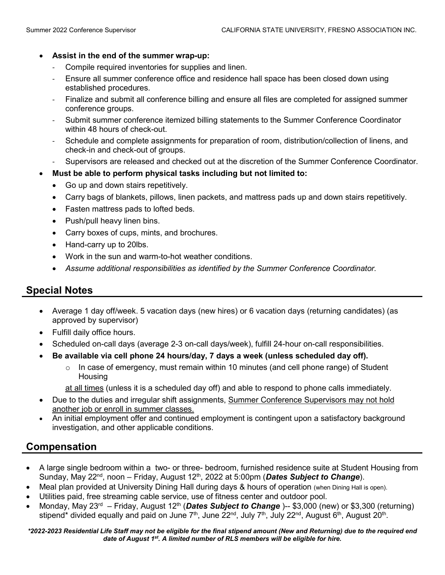#### • **Assist in the end of the summer wrap-up:**

- Compile required inventories for supplies and linen.
- Ensure all summer conference office and residence hall space has been closed down using established procedures.
- Finalize and submit all conference billing and ensure all files are completed for assigned summer conference groups.
- Submit summer conference itemized billing statements to the Summer Conference Coordinator within 48 hours of check-out.
- Schedule and complete assignments for preparation of room, distribution/collection of linens, and check-in and check-out of groups.
- Supervisors are released and checked out at the discretion of the Summer Conference Coordinator.
- **Must be able to perform physical tasks including but not limited to:**
	- Go up and down stairs repetitively.
	- Carry bags of blankets, pillows, linen packets, and mattress pads up and down stairs repetitively.
	- Fasten mattress pads to lofted beds.
	- Push/pull heavy linen bins.
	- Carry boxes of cups, mints, and brochures.
	- Hand-carry up to 20lbs.
	- Work in the sun and warm-to-hot weather conditions.
	- *Assume additional responsibilities as identified by the Summer Conference Coordinator.*

## **Special Notes**

- Average 1 day off/week. 5 vacation days (new hires) or 6 vacation days (returning candidates) (as approved by supervisor)
- Fulfill daily office hours.
- Scheduled on-call days (average 2-3 on-call days/week), fulfill 24-hour on-call responsibilities.
- **Be available via cell phone 24 hours/day, 7 days a week (unless scheduled day off).**
	- $\circ$  In case of emergency, must remain within 10 minutes (and cell phone range) of Student **Housing**

at all times (unless it is a scheduled day off) and able to respond to phone calls immediately.

- Due to the duties and irregular shift assignments, Summer Conference Supervisors may not hold another job or enroll in summer classes.
- An initial employment offer and continued employment is contingent upon a satisfactory background investigation, and other applicable conditions.

## **Compensation**

- A large single bedroom within a two- or three- bedroom, furnished residence suite at Student Housing from Sunday, May 22<sup>nd</sup>, noon – Friday, August 12<sup>th</sup>, 2022 at 5:00pm (**Dates Subject to Change**).
- Meal plan provided at University Dining Hall during days & hours of operation (when Dining Hall is open).
- Utilities paid, free streaming cable service, use of fitness center and outdoor pool.
- Monday, May 23rd Friday, August 12th (*Dates Subject to Change* )-- \$3,000 (new) or \$3,300 (returning) stipend\* divided equally and paid on June  $7<sup>th</sup>$ , June 22<sup>nd</sup>, July  $7<sup>th</sup>$ , July 22<sup>nd</sup>, August 6<sup>th</sup>, August 20<sup>th</sup>.

*\*2022-2023 Residential Life Staff may not be eligible for the final stipend amount (New and Returning) due to the required end date of August 1st. A limited number of RLS members will be eligible for hire.*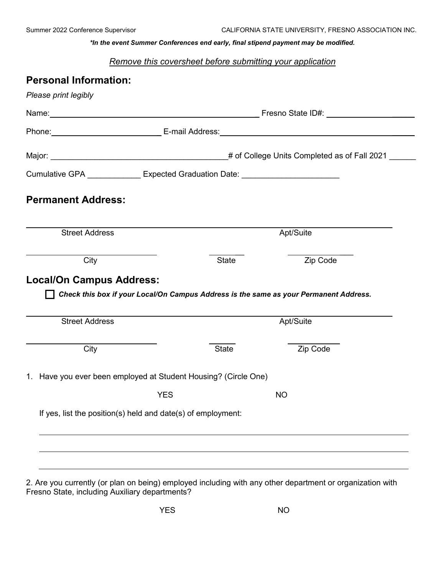*\*In the event Summer Conferences end early, final stipend payment may be modified.*

*Remove this coversheet before submitting your application*

| <b>Personal Information:</b>                                    |                                                                                  |              |                                                                                                                                                                                                                               |  |
|-----------------------------------------------------------------|----------------------------------------------------------------------------------|--------------|-------------------------------------------------------------------------------------------------------------------------------------------------------------------------------------------------------------------------------|--|
| Please print legibly                                            |                                                                                  |              |                                                                                                                                                                                                                               |  |
|                                                                 |                                                                                  |              | Name: Name: Name: Name: Name: Name: Name: Name: Name: Name: Name: Name: Name: Name: Name: Name: Name: Name: Name: Name: Name: Name: Name: Name: Name: Name: Name: Name: Name: Name: Name: Name: Name: Name: Name: Name: Name: |  |
|                                                                 |                                                                                  |              |                                                                                                                                                                                                                               |  |
|                                                                 |                                                                                  |              |                                                                                                                                                                                                                               |  |
|                                                                 | Cumulative GPA _______________ Expected Graduation Date: _______________________ |              |                                                                                                                                                                                                                               |  |
| <b>Permanent Address:</b>                                       |                                                                                  |              |                                                                                                                                                                                                                               |  |
| <b>Street Address</b>                                           |                                                                                  |              | Apt/Suite                                                                                                                                                                                                                     |  |
|                                                                 |                                                                                  |              |                                                                                                                                                                                                                               |  |
| City<br><b>Local/On Campus Address:</b>                         |                                                                                  | <b>State</b> | Zip Code                                                                                                                                                                                                                      |  |
| <b>Street Address</b>                                           |                                                                                  |              | Check this box if your Local/On Campus Address is the same as your Permanent Address.<br>Apt/Suite                                                                                                                            |  |
| City                                                            |                                                                                  | <b>State</b> | Zip Code                                                                                                                                                                                                                      |  |
| 1. Have you ever been employed at Student Housing? (Circle One) |                                                                                  |              |                                                                                                                                                                                                                               |  |
|                                                                 | <b>YES</b>                                                                       |              | <b>NO</b>                                                                                                                                                                                                                     |  |
| If yes, list the position(s) held and date(s) of employment:    |                                                                                  |              |                                                                                                                                                                                                                               |  |
|                                                                 |                                                                                  |              |                                                                                                                                                                                                                               |  |

2. Are you currently (or plan on being) employed including with any other department or organization with Fresno State, including Auxiliary departments?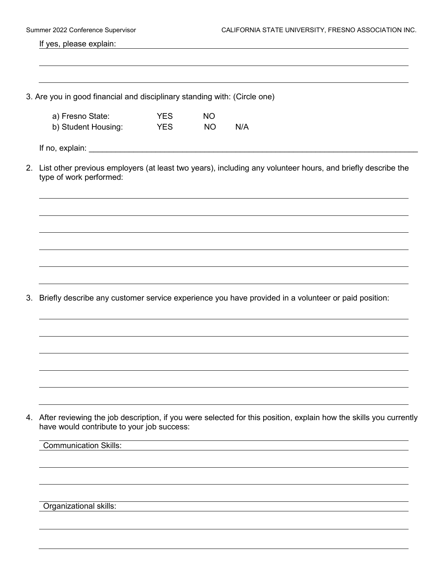|    | Summer 2022 Conference Supervisor                                         |                                     | CALIFORNIA STATE UNIVERSITY, FRESNO ASSOCIATION INC. |                                                                                                                   |  |
|----|---------------------------------------------------------------------------|-------------------------------------|------------------------------------------------------|-------------------------------------------------------------------------------------------------------------------|--|
|    | If yes, please explain:                                                   |                                     |                                                      |                                                                                                                   |  |
|    |                                                                           |                                     |                                                      |                                                                                                                   |  |
|    | 3. Are you in good financial and disciplinary standing with: (Circle one) |                                     |                                                      |                                                                                                                   |  |
|    | a) Fresno State:<br>b) Student Housing:                                   | <b>YES</b><br><b>Example 19 YES</b> | <b>NO</b><br><b>NO</b>                               | N/A                                                                                                               |  |
|    |                                                                           |                                     |                                                      |                                                                                                                   |  |
|    | type of work performed:                                                   |                                     |                                                      | 2. List other previous employers (at least two years), including any volunteer hours, and briefly describe the    |  |
|    |                                                                           |                                     |                                                      |                                                                                                                   |  |
|    |                                                                           |                                     |                                                      |                                                                                                                   |  |
|    |                                                                           |                                     |                                                      |                                                                                                                   |  |
|    |                                                                           |                                     |                                                      |                                                                                                                   |  |
| 3. |                                                                           |                                     |                                                      | Briefly describe any customer service experience you have provided in a volunteer or paid position:               |  |
|    |                                                                           |                                     |                                                      |                                                                                                                   |  |
|    |                                                                           |                                     |                                                      |                                                                                                                   |  |
|    |                                                                           |                                     |                                                      |                                                                                                                   |  |
|    |                                                                           |                                     |                                                      |                                                                                                                   |  |
| 4. | have would contribute to your job success:                                |                                     |                                                      | After reviewing the job description, if you were selected for this position, explain how the skills you currently |  |
|    | <b>Communication Skills:</b>                                              |                                     |                                                      |                                                                                                                   |  |
|    |                                                                           |                                     |                                                      |                                                                                                                   |  |
|    |                                                                           |                                     |                                                      |                                                                                                                   |  |
|    | Organizational skills:                                                    |                                     |                                                      |                                                                                                                   |  |